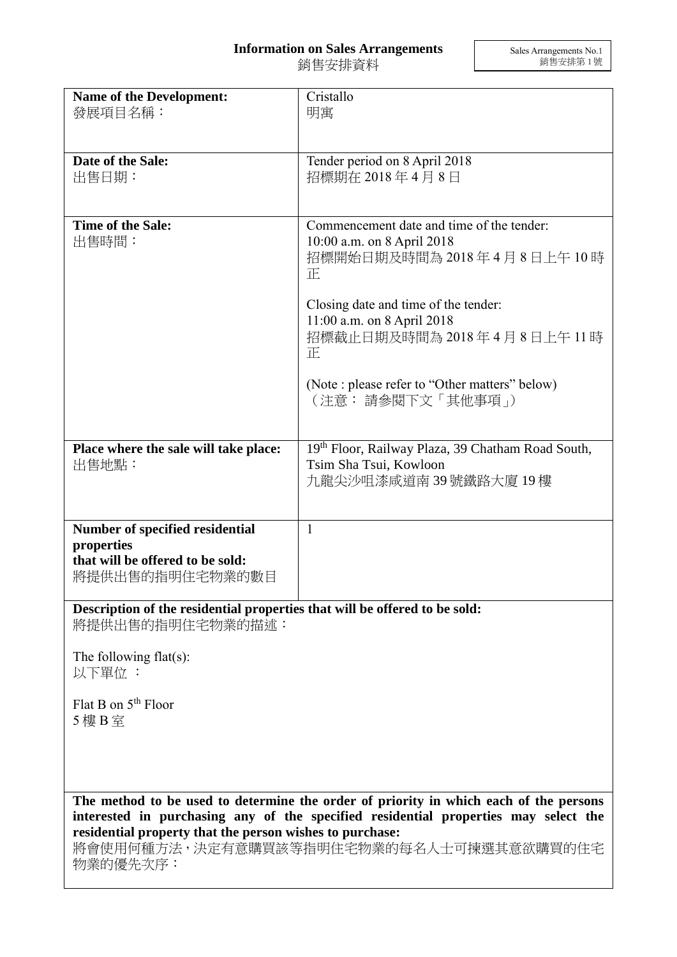## **Information on Sales Arrangements**

銷售安排資料

| <b>Name of the Development:</b><br>發展項目名稱:                                                                                                      | Cristallo<br>明寓                                                                                                                                          |
|-------------------------------------------------------------------------------------------------------------------------------------------------|----------------------------------------------------------------------------------------------------------------------------------------------------------|
|                                                                                                                                                 |                                                                                                                                                          |
| Date of the Sale:<br>出售日期:                                                                                                                      | Tender period on 8 April 2018<br>招標期在 2018年4月8日                                                                                                          |
| Time of the Sale:<br>出售時間:                                                                                                                      | Commencement date and time of the tender:<br>10:00 a.m. on 8 April 2018<br>招標開始日期及時間為 2018 年 4 月 8 日上午 10 時<br>正<br>Closing date and time of the tender: |
|                                                                                                                                                 | 11:00 a.m. on 8 April 2018<br>招標截止日期及時間為 2018年4月8日上午11時<br>正                                                                                             |
|                                                                                                                                                 | (Note : please refer to "Other matters" below)<br>(注意: 請參閱下文「其他事項」)                                                                                      |
| Place where the sale will take place:<br>出售地點:                                                                                                  | 19th Floor, Railway Plaza, 39 Chatham Road South,<br>Tsim Sha Tsui, Kowloon<br>九龍尖沙咀漆咸道南 39 號鐵路大廈 19 樓                                                   |
| Number of specified residential                                                                                                                 | $\mathbf{1}$                                                                                                                                             |
| properties                                                                                                                                      |                                                                                                                                                          |
| that will be offered to be sold:<br>將提供出售的指明住宅物業的數目                                                                                             |                                                                                                                                                          |
| Description of the residential properties that will be offered to be sold:<br>將提供出售的指明住宅物業的描述:                                                  |                                                                                                                                                          |
| The following $flat(s)$ :<br>以下單位:                                                                                                              |                                                                                                                                                          |
| Flat B on $5th$ Floor<br>5 樓 B 室                                                                                                                |                                                                                                                                                          |
|                                                                                                                                                 |                                                                                                                                                          |
| The method to be used to determine the order of priority in which each of the persons                                                           |                                                                                                                                                          |
| interested in purchasing any of the specified residential properties may select the<br>residential property that the person wishes to purchase: |                                                                                                                                                          |
| 將會使用何種方法,決定有意購買該等指明住宅物業的每名人士可揀選其意欲購買的住宅<br>物業的優先次序:                                                                                             |                                                                                                                                                          |